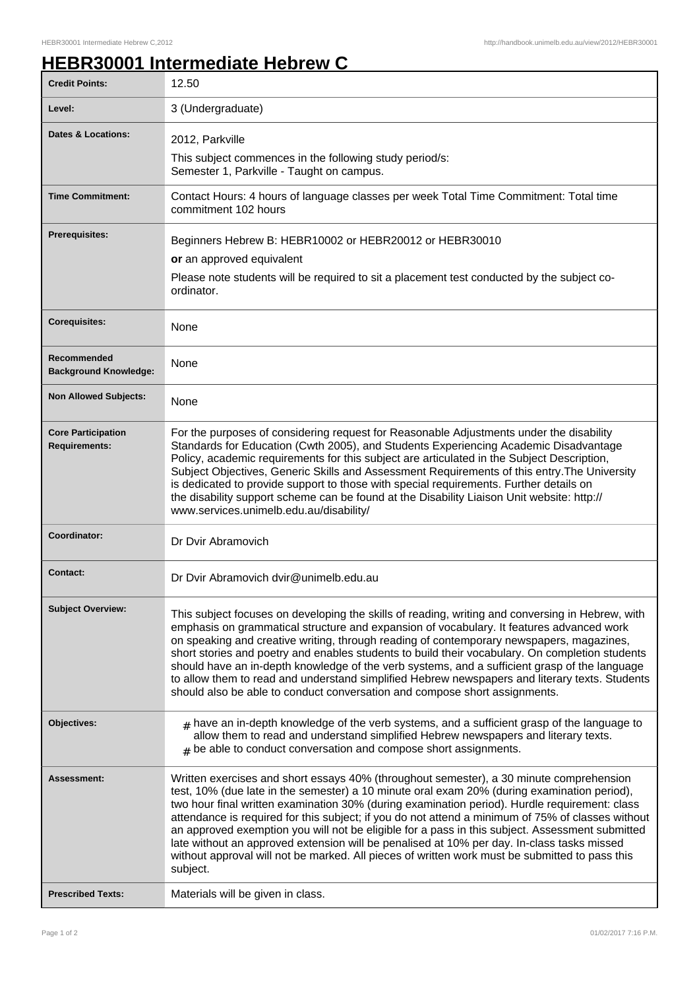## **HEBR30001 Intermediate Hebrew C**

| <b>Credit Points:</b>                             | 12.50                                                                                                                                                                                                                                                                                                                                                                                                                                                                                                                                                                                                                                                                                                       |
|---------------------------------------------------|-------------------------------------------------------------------------------------------------------------------------------------------------------------------------------------------------------------------------------------------------------------------------------------------------------------------------------------------------------------------------------------------------------------------------------------------------------------------------------------------------------------------------------------------------------------------------------------------------------------------------------------------------------------------------------------------------------------|
| Level:                                            | 3 (Undergraduate)                                                                                                                                                                                                                                                                                                                                                                                                                                                                                                                                                                                                                                                                                           |
| Dates & Locations:                                | 2012, Parkville                                                                                                                                                                                                                                                                                                                                                                                                                                                                                                                                                                                                                                                                                             |
|                                                   | This subject commences in the following study period/s:<br>Semester 1, Parkville - Taught on campus.                                                                                                                                                                                                                                                                                                                                                                                                                                                                                                                                                                                                        |
| <b>Time Commitment:</b>                           | Contact Hours: 4 hours of language classes per week Total Time Commitment: Total time<br>commitment 102 hours                                                                                                                                                                                                                                                                                                                                                                                                                                                                                                                                                                                               |
| <b>Prerequisites:</b>                             | Beginners Hebrew B: HEBR10002 or HEBR20012 or HEBR30010                                                                                                                                                                                                                                                                                                                                                                                                                                                                                                                                                                                                                                                     |
|                                                   | or an approved equivalent                                                                                                                                                                                                                                                                                                                                                                                                                                                                                                                                                                                                                                                                                   |
|                                                   | Please note students will be required to sit a placement test conducted by the subject co-<br>ordinator.                                                                                                                                                                                                                                                                                                                                                                                                                                                                                                                                                                                                    |
| <b>Corequisites:</b>                              | None                                                                                                                                                                                                                                                                                                                                                                                                                                                                                                                                                                                                                                                                                                        |
| Recommended<br><b>Background Knowledge:</b>       | None                                                                                                                                                                                                                                                                                                                                                                                                                                                                                                                                                                                                                                                                                                        |
| <b>Non Allowed Subjects:</b>                      | None                                                                                                                                                                                                                                                                                                                                                                                                                                                                                                                                                                                                                                                                                                        |
| <b>Core Participation</b><br><b>Requirements:</b> | For the purposes of considering request for Reasonable Adjustments under the disability<br>Standards for Education (Cwth 2005), and Students Experiencing Academic Disadvantage<br>Policy, academic requirements for this subject are articulated in the Subject Description,<br>Subject Objectives, Generic Skills and Assessment Requirements of this entry. The University<br>is dedicated to provide support to those with special requirements. Further details on<br>the disability support scheme can be found at the Disability Liaison Unit website: http://<br>www.services.unimelb.edu.au/disability/                                                                                            |
| Coordinator:                                      | Dr Dvir Abramovich                                                                                                                                                                                                                                                                                                                                                                                                                                                                                                                                                                                                                                                                                          |
| <b>Contact:</b>                                   | Dr Dvir Abramovich dvir@unimelb.edu.au                                                                                                                                                                                                                                                                                                                                                                                                                                                                                                                                                                                                                                                                      |
| <b>Subject Overview:</b>                          | This subject focuses on developing the skills of reading, writing and conversing in Hebrew, with<br>emphasis on grammatical structure and expansion of vocabulary. It features advanced work<br>on speaking and creative writing, through reading of contemporary newspapers, magazines,<br>short stories and poetry and enables students to build their vocabulary. On completion students<br>should have an in-depth knowledge of the verb systems, and a sufficient grasp of the language<br>to allow them to read and understand simplified Hebrew newspapers and literary texts. Students<br>should also be able to conduct conversation and compose short assignments.                                |
| Objectives:                                       | $#$ have an in-depth knowledge of the verb systems, and a sufficient grasp of the language to<br>allow them to read and understand simplified Hebrew newspapers and literary texts.<br>$#$ be able to conduct conversation and compose short assignments.                                                                                                                                                                                                                                                                                                                                                                                                                                                   |
| Assessment:                                       | Written exercises and short essays 40% (throughout semester), a 30 minute comprehension<br>test, 10% (due late in the semester) a 10 minute oral exam 20% (during examination period),<br>two hour final written examination 30% (during examination period). Hurdle requirement: class<br>attendance is required for this subject; if you do not attend a minimum of 75% of classes without<br>an approved exemption you will not be eligible for a pass in this subject. Assessment submitted<br>late without an approved extension will be penalised at 10% per day. In-class tasks missed<br>without approval will not be marked. All pieces of written work must be submitted to pass this<br>subject. |
| <b>Prescribed Texts:</b>                          | Materials will be given in class.                                                                                                                                                                                                                                                                                                                                                                                                                                                                                                                                                                                                                                                                           |